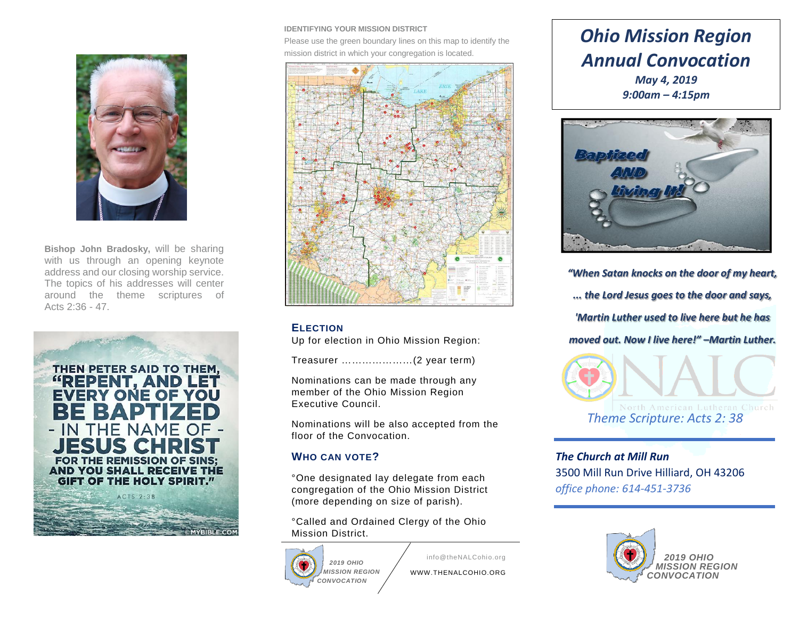

**Bishop John Bradosky,** will be sharing with us through an opening keynote address and our closing worship service. The topics of his addresses will center around the theme scriptures of Acts 2:36 - 47.



#### **IDENTIFYING YOUR MISSION DISTRICT**

Please use the green boundary lines on this map to identify the mission district in which your congregation is located.



#### **ELECTION**

Up for election in Ohio Mission Region:

Treasurer …………………(2 year term)

Nominations can be made through any member of the Ohio Mission Region Executive Council.

Nominations will be also accepted from the floor of the Convocation.

### **WHO CAN VOTE?**

°One designated lay delegate from each congregation of the Ohio Mission District (more depending on size of parish).

°Called and Ordained Clergy of the Ohio Mission District.



info@theNALCohio.org

WWW.THENALCOHIO.ORG

# *Ohio Mission Region Annual Convocation May 4, 2019*

*9:00am – 4:15pm*



*"When Satan knocks on the door of my heart, ... the Lord Jesus goes to the door and says, 'Martin Luther used to live here but he has moved out. Now I live here!" –Martin Luther.*



*The Church at Mill Run* 3500 Mill Run Drive Hilliard, OH 43206 *office phone: 614-451-3736*